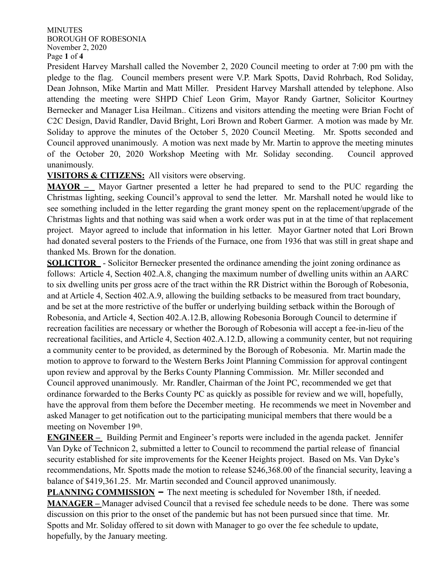### MINUTES BOROUGH OF ROBESONIA November 2, 2020 Page **1** of **4**

President Harvey Marshall called the November 2, 2020 Council meeting to order at 7:00 pm with the pledge to the flag. Council members present were V.P. Mark Spotts, David Rohrbach, Rod Soliday, Dean Johnson, Mike Martin and Matt Miller. President Harvey Marshall attended by telephone. Also attending the meeting were SHPD Chief Leon Grim, Mayor Randy Gartner, Solicitor Kourtney Bernecker and Manager Lisa Heilman.. Citizens and visitors attending the meeting were Brian Focht of C2C Design, David Randler, David Bright, Lori Brown and Robert Garmer. A motion was made by Mr. Soliday to approve the minutes of the October 5, 2020 Council Meeting. Mr. Spotts seconded and Council approved unanimously. A motion was next made by Mr. Martin to approve the meeting minutes of the October 20, 2020 Workshop Meeting with Mr. Soliday seconding. Council approved unanimously.

# **VISITORS & CITIZENS:** All visitors were observing.

**MAYOR –** Mayor Gartner presented a letter he had prepared to send to the PUC regarding the Christmas lighting, seeking Council's approval to send the letter. Mr. Marshall noted he would like to see something included in the letter regarding the grant money spent on the replacement/upgrade of the Christmas lights and that nothing was said when a work order was put in at the time of that replacement project. Mayor agreed to include that information in his letter. Mayor Gartner noted that Lori Brown had donated several posters to the Friends of the Furnace, one from 1936 that was still in great shape and thanked Ms. Brown for the donation.

**SOLICITOR** - Solicitor Bernecker presented the ordinance amending the joint zoning ordinance as follows: Article 4, Section 402.A.8, changing the maximum number of dwelling units within an AARC to six dwelling units per gross acre of the tract within the RR District within the Borough of Robesonia, and at Article 4, Section 402.A.9, allowing the building setbacks to be measured from tract boundary, and be set at the more restrictive of the buffer or underlying building setback within the Borough of Robesonia, and Article 4, Section 402.A.12.B, allowing Robesonia Borough Council to determine if recreation facilities are necessary or whether the Borough of Robesonia will accept a fee-in-lieu of the recreational facilities, and Article 4, Section 402.A.12.D, allowing a community center, but not requiring a community center to be provided, as determined by the Borough of Robesonia. Mr. Martin made the motion to approve to forward to the Western Berks Joint Planning Commission for approval contingent upon review and approval by the Berks County Planning Commission. Mr. Miller seconded and Council approved unanimously. Mr. Randler, Chairman of the Joint PC, recommended we get that ordinance forwarded to the Berks County PC as quickly as possible for review and we will, hopefully, have the approval from them before the December meeting. He recommends we meet in November and asked Manager to get notification out to the participating municipal members that there would be a meeting on November 19th.

**ENGINEER –** Building Permit and Engineer's reports were included in the agenda packet. Jennifer Van Dyke of Technicon 2, submitted a letter to Council to recommend the partial release of financial security established for site improvements for the Keener Heights project. Based on Ms. Van Dyke's recommendations, Mr. Spotts made the motion to release \$246,368.00 of the financial security, leaving a balance of \$419,361.25. Mr. Martin seconded and Council approved unanimously.

**PLANNING COMMISSION** – The next meeting is scheduled for November 18th, if needed. **MANAGER –** Manager advised Council that a revised fee schedule needs to be done. There was some discussion on this prior to the onset of the pandemic but has not been pursued since that time. Mr. Spotts and Mr. Soliday offered to sit down with Manager to go over the fee schedule to update, hopefully, by the January meeting.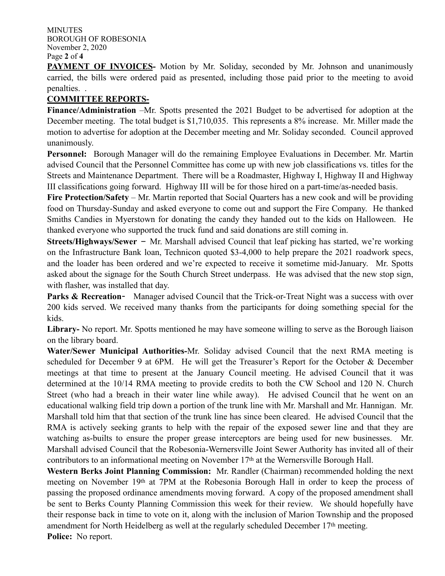MINUTES BOROUGH OF ROBESONIA November 2, 2020 Page **2** of **4**

**PAYMENT OF INVOICES-** Motion by Mr. Soliday, seconded by Mr. Johnson and unanimously carried, the bills were ordered paid as presented, including those paid prior to the meeting to avoid penalties. .

# **COMMITTEE REPORTS-**

**Finance/Administration** –Mr. Spotts presented the 2021 Budget to be advertised for adoption at the December meeting. The total budget is \$1,710,035. This represents a 8% increase. Mr. Miller made the motion to advertise for adoption at the December meeting and Mr. Soliday seconded. Council approved unanimously.

**Personnel:** Borough Manager will do the remaining Employee Evaluations in December. Mr. Martin advised Council that the Personnel Committee has come up with new job classifications vs. titles for the Streets and Maintenance Department. There will be a Roadmaster, Highway I, Highway II and Highway III classifications going forward. Highway III will be for those hired on a part-time/as-needed basis.

**Fire Protection/Safety** – Mr. Martin reported that Social Quarters has a new cook and will be providing food on Thursday-Sunday and asked everyone to come out and support the Fire Company. He thanked Smiths Candies in Myerstown for donating the candy they handed out to the kids on Halloween. He thanked everyone who supported the truck fund and said donations are still coming in.

**Streets/Highways/Sewer** – Mr. Marshall advised Council that leaf picking has started, we're working on the Infrastructure Bank loan, Technicon quoted \$3-4,000 to help prepare the 2021 roadwork specs, and the loader has been ordered and we're expected to receive it sometime mid-January. Mr. Spotts asked about the signage for the South Church Street underpass. He was advised that the new stop sign, with flasher, was installed that day.

**Parks & Recreation-** Manager advised Council that the Trick-or-Treat Night was a success with over 200 kids served. We received many thanks from the participants for doing something special for the kids.

**Library-** No report. Mr. Spotts mentioned he may have someone willing to serve as the Borough liaison on the library board.

**Water/Sewer Municipal Authorities-**Mr. Soliday advised Council that the next RMA meeting is scheduled for December 9 at 6PM. He will get the Treasurer's Report for the October & December meetings at that time to present at the January Council meeting. He advised Council that it was determined at the 10/14 RMA meeting to provide credits to both the CW School and 120 N. Church Street (who had a breach in their water line while away). He advised Council that he went on an educational walking field trip down a portion of the trunk line with Mr. Marshall and Mr. Hannigan. Mr. Marshall told him that that section of the trunk line has since been cleared. He advised Council that the RMA is actively seeking grants to help with the repair of the exposed sewer line and that they are watching as-builts to ensure the proper grease interceptors are being used for new businesses. Mr. Marshall advised Council that the Robesonia-Wernersville Joint Sewer Authority has invited all of their contributors to an informational meeting on November 17th at the Wernersville Borough Hall.

**Western Berks Joint Planning Commission:** Mr. Randler (Chairman) recommended holding the next meeting on November 19th at 7PM at the Robesonia Borough Hall in order to keep the process of passing the proposed ordinance amendments moving forward. A copy of the proposed amendment shall be sent to Berks County Planning Commission this week for their review. We should hopefully have their response back in time to vote on it, along with the inclusion of Marion Township and the proposed amendment for North Heidelberg as well at the regularly scheduled December 17th meeting. **Police:** No report.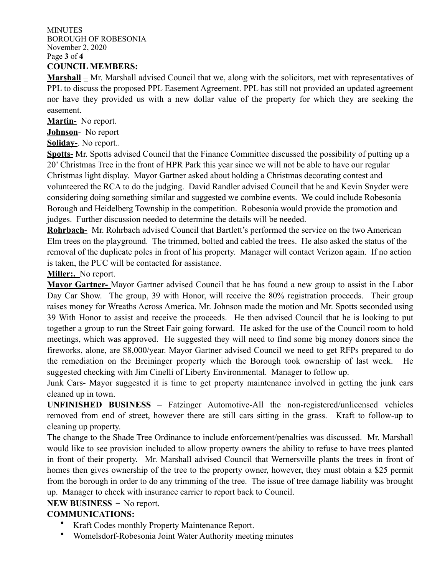MINUTES BOROUGH OF ROBESONIA November 2, 2020 Page **3** of **4 COUNCIL MEMBERS:**

**Marshall** – Mr. Marshall advised Council that we, along with the solicitors, met with representatives of PPL to discuss the proposed PPL Easement Agreement. PPL has still not provided an updated agreement nor have they provided us with a new dollar value of the property for which they are seeking the easement.

**Martin-** No report.

**Johnson**- No report

**Soliday-**. No report..

**Spotts-** Mr. Spotts advised Council that the Finance Committee discussed the possibility of putting up a 20' Christmas Tree in the front of HPR Park this year since we will not be able to have our regular Christmas light display. Mayor Gartner asked about holding a Christmas decorating contest and volunteered the RCA to do the judging. David Randler advised Council that he and Kevin Snyder were considering doing something similar and suggested we combine events. We could include Robesonia Borough and Heidelberg Township in the competition. Robesonia would provide the promotion and judges. Further discussion needed to determine the details will be needed.

**Rohrbach-** Mr. Rohrbach advised Council that Bartlett's performed the service on the two American Elm trees on the playground. The trimmed, bolted and cabled the trees. He also asked the status of the removal of the duplicate poles in front of his property. Manager will contact Verizon again. If no action is taken, the PUC will be contacted for assistance.

**Miller:.** No report.

**Mayor Gartner-** Mayor Gartner advised Council that he has found a new group to assist in the Labor Day Car Show. The group, 39 with Honor, will receive the 80% registration proceeds. Their group raises money for Wreaths Across America. Mr. Johnson made the motion and Mr. Spotts seconded using 39 With Honor to assist and receive the proceeds. He then advised Council that he is looking to put together a group to run the Street Fair going forward. He asked for the use of the Council room to hold meetings, which was approved. He suggested they will need to find some big money donors since the fireworks, alone, are \$8,000/year. Mayor Gartner advised Council we need to get RFPs prepared to do the remediation on the Breininger property which the Borough took ownership of last week. He suggested checking with Jim Cinelli of Liberty Environmental. Manager to follow up.

Junk Cars- Mayor suggested it is time to get property maintenance involved in getting the junk cars cleaned up in town.

**UNFINISHED BUSINESS** – Fatzinger Automotive-All the non-registered/unlicensed vehicles removed from end of street, however there are still cars sitting in the grass. Kraft to follow-up to cleaning up property.

The change to the Shade Tree Ordinance to include enforcement/penalties was discussed. Mr. Marshall would like to see provision included to allow property owners the ability to refuse to have trees planted in front of their property. Mr. Marshall advised Council that Wernersville plants the trees in front of homes then gives ownership of the tree to the property owner, however, they must obtain a \$25 permit from the borough in order to do any trimming of the tree. The issue of tree damage liability was brought up. Manager to check with insurance carrier to report back to Council.

# **NEW BUSINESS** – No report.

# **COMMUNICATIONS:**

- Kraft Codes monthly Property Maintenance Report.
- Womelsdorf-Robesonia Joint Water Authority meeting minutes